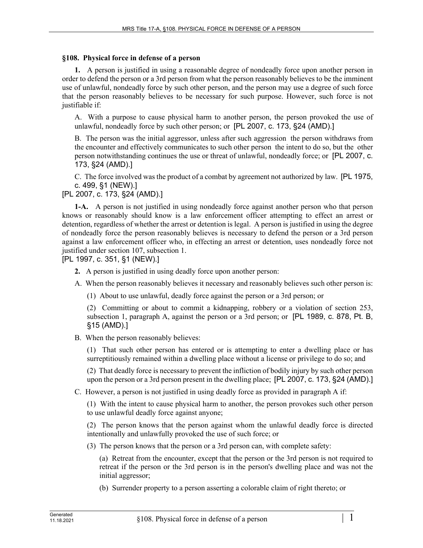## **§108. Physical force in defense of a person**

**1.** A person is justified in using a reasonable degree of nondeadly force upon another person in order to defend the person or a 3rd person from what the person reasonably believes to be the imminent use of unlawful, nondeadly force by such other person, and the person may use a degree of such force that the person reasonably believes to be necessary for such purpose. However, such force is not justifiable if:

A. With a purpose to cause physical harm to another person, the person provoked the use of unlawful, nondeadly force by such other person; or [PL 2007, c. 173, §24 (AMD).]

B. The person was the initial aggressor, unless after such aggression the person withdraws from the encounter and effectively communicates to such other person the intent to do so, but the other person notwithstanding continues the use or threat of unlawful, nondeadly force; or [PL 2007, c. 173, §24 (AMD).]

C. The force involved was the product of a combat by agreement not authorized by law. [PL 1975, c. 499, §1 (NEW).]

[PL 2007, c. 173, §24 (AMD).]

**1-A.** A person is not justified in using nondeadly force against another person who that person knows or reasonably should know is a law enforcement officer attempting to effect an arrest or detention, regardless of whether the arrest or detention is legal. A person is justified in using the degree of nondeadly force the person reasonably believes is necessary to defend the person or a 3rd person against a law enforcement officer who, in effecting an arrest or detention, uses nondeadly force not justified under section 107, subsection 1.

[PL 1997, c. 351, §1 (NEW).]

- **2.** A person is justified in using deadly force upon another person:
- A. When the person reasonably believes it necessary and reasonably believes such other person is:
	- (1) About to use unlawful, deadly force against the person or a 3rd person; or

(2) Committing or about to commit a kidnapping, robbery or a violation of section 253, subsection 1, paragraph A, against the person or a 3rd person; or [PL 1989, c. 878, Pt. B, §15 (AMD).]

B. When the person reasonably believes:

(1) That such other person has entered or is attempting to enter a dwelling place or has surreptitiously remained within a dwelling place without a license or privilege to do so; and

(2) That deadly force is necessary to prevent the infliction of bodily injury by such other person upon the person or a 3rd person present in the dwelling place; [PL 2007, c. 173, §24 (AMD).]

C. However, a person is not justified in using deadly force as provided in paragraph A if:

(1) With the intent to cause physical harm to another, the person provokes such other person to use unlawful deadly force against anyone;

(2) The person knows that the person against whom the unlawful deadly force is directed intentionally and unlawfully provoked the use of such force; or

(3) The person knows that the person or a 3rd person can, with complete safety:

(a) Retreat from the encounter, except that the person or the 3rd person is not required to retreat if the person or the 3rd person is in the person's dwelling place and was not the initial aggressor;

(b) Surrender property to a person asserting a colorable claim of right thereto; or